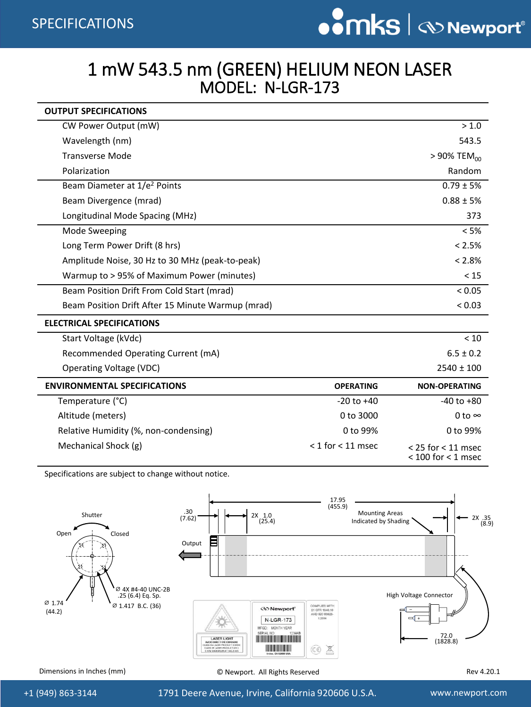## 1 mW 543.5 nm (GREEN) HELIUM NEON LASER MODEL: N-LGR-173

| <b>OUTPUT SPECIFICATIONS</b>                      |                       |                                                  |  |  |  |
|---------------------------------------------------|-----------------------|--------------------------------------------------|--|--|--|
| CW Power Output (mW)                              |                       | > 1.0                                            |  |  |  |
| Wavelength (nm)                                   |                       | 543.5                                            |  |  |  |
| <b>Transverse Mode</b>                            |                       | $> 90\%$ TEM <sub>00</sub>                       |  |  |  |
| Polarization                                      |                       | Random                                           |  |  |  |
| Beam Diameter at 1/e <sup>2</sup> Points          |                       | $0.79 \pm 5%$                                    |  |  |  |
| Beam Divergence (mrad)                            |                       | $0.88 \pm 5%$                                    |  |  |  |
| Longitudinal Mode Spacing (MHz)                   |                       | 373                                              |  |  |  |
| Mode Sweeping                                     |                       | < 5%                                             |  |  |  |
| Long Term Power Drift (8 hrs)                     |                       | $< 2.5\%$                                        |  |  |  |
| Amplitude Noise, 30 Hz to 30 MHz (peak-to-peak)   |                       | $< 2.8\%$                                        |  |  |  |
| Warmup to > 95% of Maximum Power (minutes)        |                       | < 15                                             |  |  |  |
| Beam Position Drift From Cold Start (mrad)        |                       | < 0.05                                           |  |  |  |
| Beam Position Drift After 15 Minute Warmup (mrad) |                       | < 0.03                                           |  |  |  |
| <b>ELECTRICAL SPECIFICATIONS</b>                  |                       |                                                  |  |  |  |
| Start Voltage (kVdc)                              |                       | < 10                                             |  |  |  |
| Recommended Operating Current (mA)                |                       | $6.5 \pm 0.2$                                    |  |  |  |
| Operating Voltage (VDC)                           |                       | $2540 \pm 100$                                   |  |  |  |
| <b>ENVIRONMENTAL SPECIFICATIONS</b>               | <b>OPERATING</b>      | <b>NON-OPERATING</b>                             |  |  |  |
| Temperature (°C)                                  | $-20$ to $+40$        | $-40$ to $+80$                                   |  |  |  |
| Altitude (meters)                                 | 0 to 3000             | 0 to $\infty$                                    |  |  |  |
| Relative Humidity (%, non-condensing)             | 0 to 99%              | 0 to 99%                                         |  |  |  |
| Mechanical Shock (g)                              | $<$ 1 for $<$ 11 msec | $<$ 25 for $<$ 11 msec<br>$<$ 100 for $<$ 1 msec |  |  |  |

Specifications are subject to change without notice.



Dimensions in Inches (mm)  $\bullet$  Newport. All Rights Reserved Rev 4.20.1